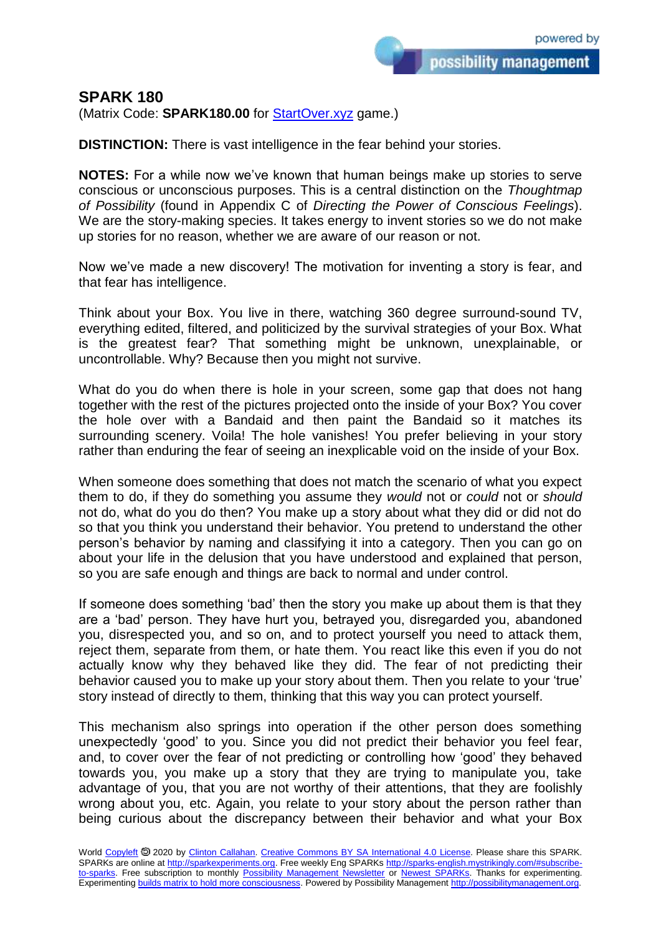## **SPARK 180**

(Matrix Code: **SPARK180.00** for **StartOver.xyz** game.)

**DISTINCTION:** There is vast intelligence in the fear behind your stories.

**NOTES:** For a while now we've known that human beings make up stories to serve conscious or unconscious purposes. This is a central distinction on the *Thoughtmap of Possibility* (found in Appendix C of *Directing the Power of Conscious Feelings*). We are the story-making species. It takes energy to invent stories so we do not make up stories for no reason, whether we are aware of our reason or not.

Now we've made a new discovery! The motivation for inventing a story is fear, and that fear has intelligence.

Think about your Box. You live in there, watching 360 degree surround-sound TV, everything edited, filtered, and politicized by the survival strategies of your Box. What is the greatest fear? That something might be unknown, unexplainable, or uncontrollable. Why? Because then you might not survive.

What do you do when there is hole in your screen, some gap that does not hang together with the rest of the pictures projected onto the inside of your Box? You cover the hole over with a Bandaid and then paint the Bandaid so it matches its surrounding scenery. Voila! The hole vanishes! You prefer believing in your story rather than enduring the fear of seeing an inexplicable void on the inside of your Box.

When someone does something that does not match the scenario of what you expect them to do, if they do something you assume they *would* not or *could* not or *should* not do, what do you do then? You make up a story about what they did or did not do so that you think you understand their behavior. You pretend to understand the other person's behavior by naming and classifying it into a category. Then you can go on about your life in the delusion that you have understood and explained that person, so you are safe enough and things are back to normal and under control.

If someone does something 'bad' then the story you make up about them is that they are a 'bad' person. They have hurt you, betrayed you, disregarded you, abandoned you, disrespected you, and so on, and to protect yourself you need to attack them, reject them, separate from them, or hate them. You react like this even if you do not actually know why they behaved like they did. The fear of not predicting their behavior caused you to make up your story about them. Then you relate to your 'true' story instead of directly to them, thinking that this way you can protect yourself.

This mechanism also springs into operation if the other person does something unexpectedly 'good' to you. Since you did not predict their behavior you feel fear, and, to cover over the fear of not predicting or controlling how 'good' they behaved towards you, you make up a story that they are trying to manipulate you, take advantage of you, that you are not worthy of their attentions, that they are foolishly wrong about you, etc. Again, you relate to your story about the person rather than being curious about the discrepancy between their behavior and what your Box